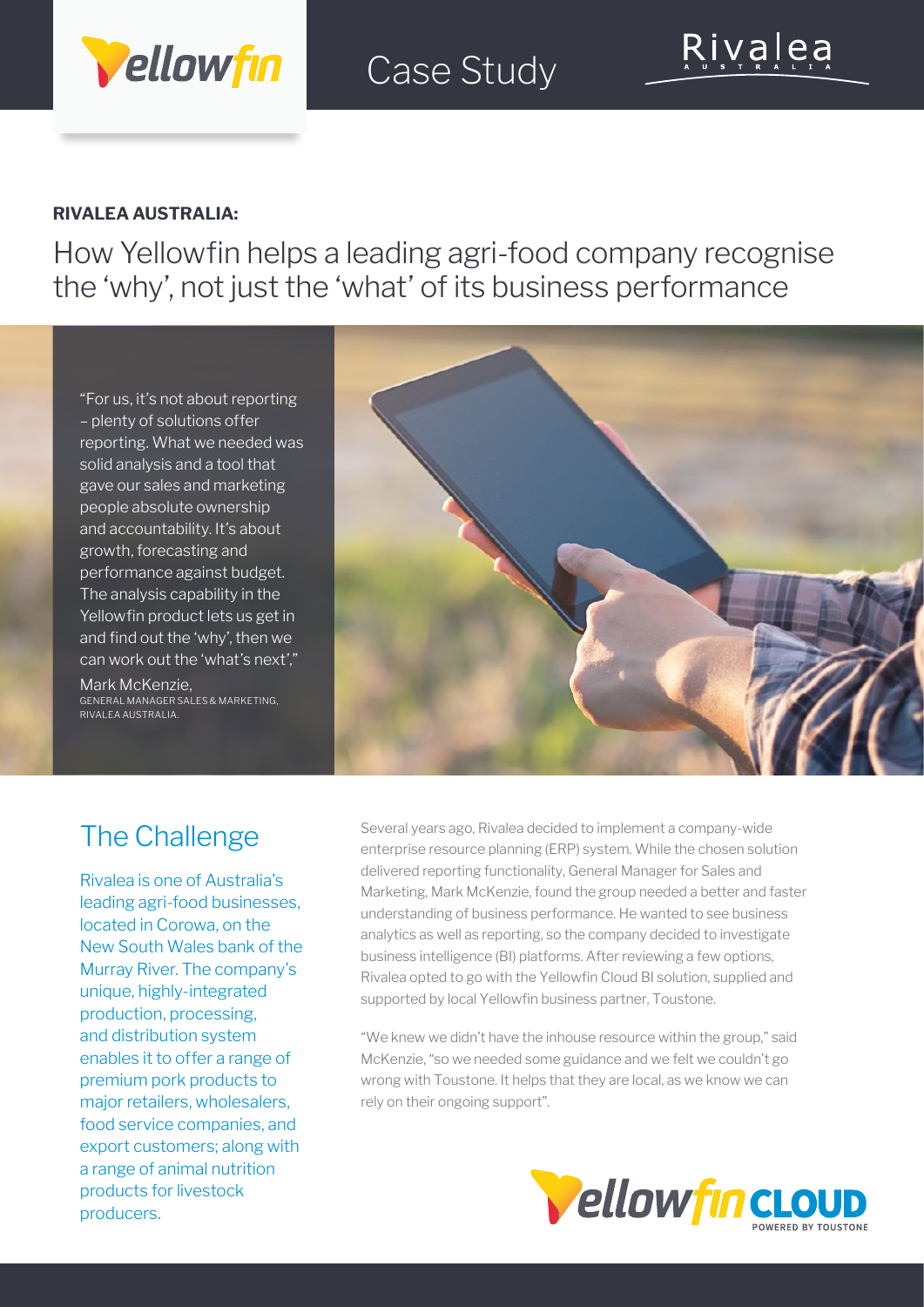

# Case Study

#### **RIVALEA AUSTRALIA:**

How Yellowfin helps a leading agri-food company recognise the 'why', not just the 'what' of its business performance

"For us, it's not about reporting – plenty of solutions offer reporting. What we needed was solid analysis and a tool that gave our sales and marketing people absolute ownership and accountability. It's about growth, forecasting and performance against budget. The analysis capability in the Yellowfin product lets us get in and find out the 'why', then we can work out the 'what's next',"

Mark McKenzie, GENERAL MANAGER SALES & MARKETING, RIVALEA AUSTRALIA.



# The Challenge

Rivalea is one of Australia's leading agri-food businesses, located in Corowa, on the New South Wales bank of the Murray River. The company's unique, highly-integrated production, processing, and distribution system enables it to offer a range of premium pork products to major retailers, wholesalers, food service companies, and export customers; along with a range of animal nutrition products for livestock producers.

Several years ago, Rivalea decided to implement a company-wide enterprise resource planning (ERP) system. While the chosen solution delivered reporting functionality, General Manager for Sales and Marketing, Mark McKenzie, found the group needed a better and faster understanding of business performance. He wanted to see business analytics as well as reporting, so the company decided to investigate business intelligence (BI) platforms. After reviewing a few options, Rivalea opted to go with the Yellowfin Cloud BI solution, supplied and supported by local Yellowfin business partner, Toustone.

"We knew we didn't have the inhouse resource within the group," said McKenzie, "so we needed some guidance and we felt we couldn't go wrong with Toustone. It helps that they are local, as we know we can rely on their ongoing support".